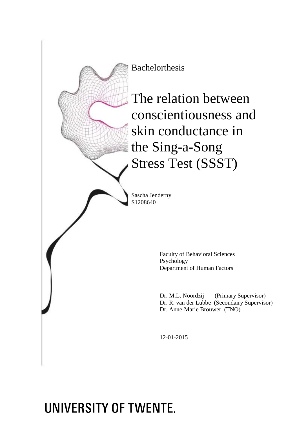

# UNIVERSITY OF TWENTE.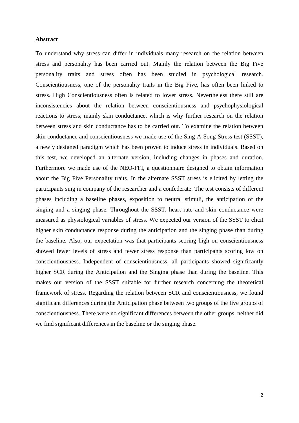#### **Abstract**

To understand why stress can differ in individuals many research on the relation between stress and personality has been carried out. Mainly the relation between the Big Five personality traits and stress often has been studied in psychological research. Conscientiousness, one of the personality traits in the Big Five, has often been linked to stress. High Conscientiousness often is related to lower stress. Nevertheless there still are inconsistencies about the relation between conscientiousness and psychophysiological reactions to stress, mainly skin conductance, which is why further research on the relation between stress and skin conductance has to be carried out. To examine the relation between skin conductance and conscientiousness we made use of the Sing-A-Song-Stress test (SSST), a newly designed paradigm which has been proven to induce stress in individuals. Based on this test, we developed an alternate version, including changes in phases and duration. Furthermore we made use of the NEO-FFI, a questionnaire designed to obtain information about the Big Five Personality traits. In the alternate SSST stress is elicited by letting the participants sing in company of the researcher and a confederate. The test consists of different phases including a baseline phases, exposition to neutral stimuli, the anticipation of the singing and a singing phase. Throughout the SSST, heart rate and skin conductance were measured as physiological variables of stress. We expected our version of the SSST to elicit higher skin conductance response during the anticipation and the singing phase than during the baseline. Also, our expectation was that participants scoring high on conscientiousness showed fewer levels of stress and fewer stress response than participants scoring low on conscientiousness. Independent of conscientiousness, all participants showed significantly higher SCR during the Anticipation and the Singing phase than during the baseline. This makes our version of the SSST suitable for further research concerning the theoretical framework of stress. Regarding the relation between SCR and conscientiousness, we found significant differences during the Anticipation phase between two groups of the five groups of conscientiousness. There were no significant differences between the other groups, neither did we find significant differences in the baseline or the singing phase.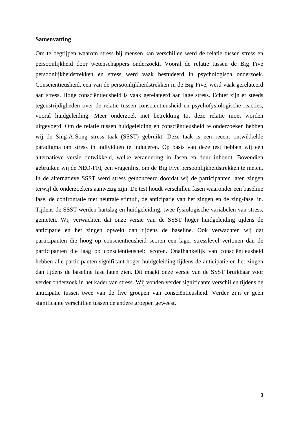#### **Samenvatting**

Om te begrijpen waarom stress bij mensen kan verschillen werd de relatie tussen stress en persoonlijkheid door wetenschappers onderzoekt. Vooral de relatie tussen de Big Five persoonlijkheidstrekken en stress werd vaak bestudeerd in psychologisch onderzoek. Conscientieusheid, een van de persoonlijkheidstrekken in de Big Five, werd vaak gerelateerd aan stress. Hoge consciëntieusheid is vaak gerelateerd aan lage stress. Echter zijn er steeds tegenstrijdigheden over de relatie tussen consciëntieusheid en psychofysiologische reacties, vooral huidgeleiding. Meer onderzoek met betrekking tot deze relatie moet worden uitgevoerd. Om de relatie tussen huidgeleiding en consciëntieusheid te onderzoeken hebben wij de Sing-A-Song stress taak (SSST) gebruikt. Deze taak is een recent ontwikkelde paradigma om stress in individuen te induceren. Op basis van deze test hebben wij een alternatieve versie ontwikkeld, welke verandering in fasen en duur inhoudt. Bovendien gebruiken wij de NEO-FFI, een vragenlijst om de Big Five persoonlijkheidstrekken te meten. In de alternatieve SSST werd stress geïnduceerd doordat wij de participanten laten zingen terwijl de onderzoekers aanwezig zijn. De test houdt verschillen fasen waaronder een baseline fase, de confrontatie met neutrale stimuli, de anticipatie van het zingen en de zing-fase, in. Tijdens de SSST werden hartslag en huidgeleiding, twee fysiologische variabelen van stress, gemeten. Wij verwachten dat onze versie van de SSST hoger huidgeleiding tijdens de anticipatie en het zingen opwekt dan tijdens de baseline. Ook verwachten wij dat participanten die hoog op consciëntieusheid scoren een lager stresslevel vertonen dan de participanten die laag op consciëntieusheid scoren. Onafhankelijk van consciëntieusheid hebben alle participanten significant hoger huidgeleiding tijdens de anticipatie en het zingen dan tijdens de baseline fase laten zien. Dit maakt onze versie van de SSST bruikbaar voor verder onderzoek in het kader van stress. Wij vonden verder significante verschillen tijdens de anticipatie tussen twee van de five groepen van consciëntieusheid. Verder zijn er geen significante verschillen tussen de andere groepen geweest.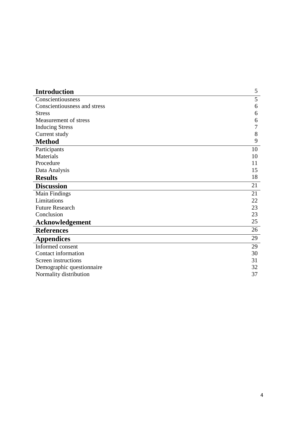| <b>Introduction</b>          | 5  |
|------------------------------|----|
| Conscientiousness            | 5  |
| Conscientiousness and stress | 6  |
| <b>Stress</b>                | 6  |
| Measurement of stress        | 6  |
| <b>Inducing Stress</b>       | 7  |
| Current study                | 8  |
| <b>Method</b>                | 9  |
| Participants                 | 10 |
| Materials                    | 10 |
| Procedure                    | 11 |
| Data Analysis                | 15 |
| <b>Results</b>               | 18 |
| <b>Discussion</b>            | 21 |
| <b>Main Findings</b>         | 21 |
| Limitations                  | 22 |
| <b>Future Research</b>       | 23 |
| Conclusion                   | 23 |
| <b>Acknowledgement</b>       | 25 |
| <b>References</b>            | 26 |
| <b>Appendices</b>            | 29 |
| Informed consent             | 29 |
| Contact information          | 30 |
| Screen instructions          | 31 |
| Demographic questionnaire    | 32 |
| Normality distribution       | 37 |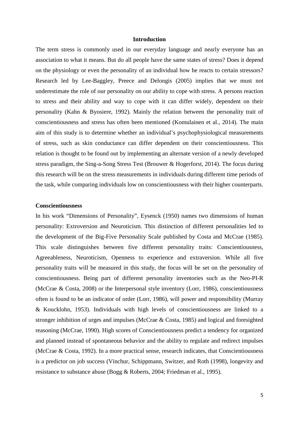#### **Introduction**

The term stress is commonly used in our everyday language and nearly everyone has an association to what it means. But do all people have the same states of stress? Does it depend on the physiology or even the personality of an individual how he reacts to certain stressors? Research led by Lee-Baggley, Preece and Delongis (2005) implies that we must not underestimate the role of our personality on our ability to cope with stress. A persons reaction to stress and their ability and way to cope with it can differ widely, dependent on their personality (Kahn & Byosiere, 1992). Mainly the relation between the personality trait of conscientiousness and stress has often been mentioned (Komulainen et al., 2014). The main aim of this study is to determine whether an individual's psychophysiological measurements of stress, such as skin conductance can differ dependent on their conscientiousness. This relation is thought to be found out by implementing an alternate version of a newly developed stress paradigm, the Sing-a-Song Stress Test (Brouwer & Hogerforst, 2014). The focus during this research will be on the stress measurements in individuals during different time periods of the task, while comparing individuals low on conscientiousness with their higher counterparts.

#### **Conscientiousness**

In his work "Dimensions of Personality", Eysenck (1950) names two dimensions of human personality: Extroversion and Neuroticism. This distinction of different personalities led to the development of the Big-Five Personality Scale published by Costa and McCrae (1985). This scale distinguishes between five different personality traits: Conscientiousness, Agreeableness, Neuroticism, Openness to experience and extraversion. While all five personality traits will be measured in this study, the focus will be set on the personality of conscientiousness. Being part of different personality inventories such as the Neo-PI-R (McCrae & Costa, 2008) or the Interpersonal style inventory (Lorr, 1986), conscientiousness often is found to be an indicator of order (Lorr, 1986), will power and responsibility (Murray & Koucklohn, 1953). Individuals with high levels of conscientiousness are linked to a stronger inhibition of urges and impulses (McCrae & Costa, 1985) and logical and foresighted reasoning (McCrae, 1990). High scores of Conscientiousness predict a tendency for organized and planned instead of spontaneous behavior and the ability to regulate and redirect impulses (McCrae & Costa, 1992). In a more practical sense, research indicates, that Conscientiousness is a predictor on job success (Vinchur, Schippmann, Switzer, and Roth (1998), longevity and resistance to substance abuse (Bogg & Roberts, 2004; Friedman et al., 1995).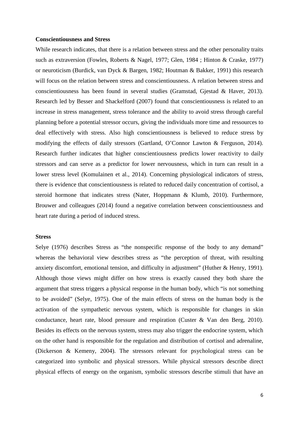#### **Conscientiousness and Stress**

While research indicates, that there is a relation between stress and the other personality traits such as extraversion (Fowles, Roberts & Nagel, 1977; Glen, 1984 ; Hinton & Craske, 1977) or neuroticism (Burdick, van Dyck & Bargen, 1982; Houtman & Bakker, 1991) this research will focus on the relation between stress and conscientiousness. A relation between stress and conscientiousness has been found in several studies (Gramstad, Gjestad & Haver, 2013). Research led by Besser and Shackelford (2007) found that conscientiousness is related to an increase in stress management, stress tolerance and the ability to avoid stress through careful planning before a potential stressor occurs, giving the individuals more time and ressources to deal effectively with stress. Also high conscientiousness is believed to reduce stress by modifying the effects of daily stressors (Gartland, O'Connor Lawton & Ferguson, 2014). Research further indicates that higher conscientiousness predicts lower reactivity to daily stressors and can serve as a predictor for lower nervousness, which in turn can result in a lower stress level (Komulainen et al., 2014). Concerning physiological indicators of stress, there is evidence that conscientiousness is related to reduced daily concentration of cortisol, a steroid hormone that indicates stress (Nater, Hoppmann & Klumb, 2010). Furthermore, Brouwer and colleagues (2014) found a negative correlation between conscientiousness and heart rate during a period of induced stress.

#### **Stress**

Selye (1976) describes Stress as "the nonspecific response of the body to any demand" whereas the behavioral view describes stress as "the perception of threat, with resulting anxiety discomfort, emotional tension, and difficulty in adjustment" (Huther & Henry, 1991). Although those views might differ on how stress is exactly caused they both share the argument that stress triggers a physical response in the human body, which "is not something to be avoided" (Selye, 1975). One of the main effects of stress on the human body is the activation of the sympathetic nervous system, which is responsible for changes in skin conductance, heart rate, blood pressure and respiration (Custer & Van den Berg, 2010). Besides its effects on the nervous system, stress may also trigger the endocrine system, which on the other hand is responsible for the regulation and distribution of cortisol and adrenaline, (Dickerson & Kemeny, 2004). The stressors relevant for psychological stress can be categorized into symbolic and physical stressors. While physical stressors describe direct physical effects of energy on the organism, symbolic stressors describe stimuli that have an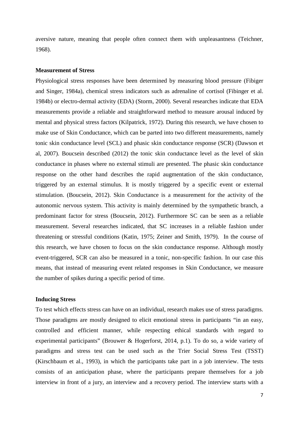aversive nature, meaning that people often connect them with unpleasantness (Teichner, 1968).

#### **Measurement of Stress**

Physiological stress responses have been determined by measuring blood pressure (Fibiger and Singer, 1984a), chemical stress indicators such as adrenaline of cortisol (Fibinger et al. 1984b) or electro-dermal activity (EDA) (Storm, 2000). Several researches indicate that EDA measurements provide a reliable and straightforward method to measure arousal induced by mental and physical stress factors (Kilpatrick, 1972). During this research, we have chosen to make use of Skin Conductance, which can be parted into two different measurements, namely tonic skin conductance level (SCL) and phasic skin conductance response (SCR) (Dawson et al, 2007). Boucsein described (2012) the tonic skin conductance level as the level of skin conductance in phases where no external stimuli are presented. The phasic skin conductance response on the other hand describes the rapid augmentation of the skin conductance, triggered by an external stimulus. It is mostly triggered by a specific event or external stimulation. (Boucsein, 2012). Skin Conductance is a measurement for the activity of the autonomic nervous system. This activity is mainly determined by the sympathetic branch, a predominant factor for stress (Boucsein, 2012). Furthermore SC can be seen as a reliable measurement. Several researches indicated, that SC increases in a reliable fashion under threatening or stressful conditions (Katin, 1975; Zeiner and Smith, 1979). In the course of this research, we have chosen to focus on the skin conductance response. Although mostly event-triggered, SCR can also be measured in a tonic, non-specific fashion. In our case this means, that instead of measuring event related responses in Skin Conductance, we measure the number of spikes during a specific period of time.

# **Inducing Stress**

To test which effects stress can have on an individual, research makes use of stress paradigms. Those paradigms are mostly designed to elicit emotional stress in participants "in an easy, controlled and efficient manner, while respecting ethical standards with regard to experimental participants" (Brouwer & Hogerforst, 2014, p.1). To do so, a wide variety of paradigms and stress test can be used such as the Trier Social Stress Test (TSST) (Kirschbaum et al., 1993), in which the participants take part in a job interview. The tests consists of an anticipation phase, where the participants prepare themselves for a job interview in front of a jury, an interview and a recovery period. The interview starts with a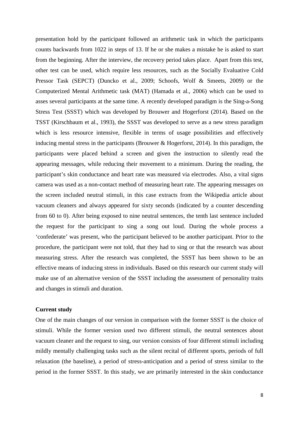presentation hold by the participant followed an arithmetic task in which the participants counts backwards from 1022 in steps of 13. If he or she makes a mistake he is asked to start from the beginning. After the interview, the recovery period takes place. Apart from this test, other test can be used, which require less resources, such as the Socially Evaluative Cold Pressor Task (SEPCT) (Duncko et al., 2009; Schoofs, Wolf & Smeets, 2009) or the Computerized Mental Arithmetic task (MAT) (Hamada et al., 2006) which can be used to asses several participants at the same time. A recently developed paradigm is the Sing-a-Song Stress Test (SSST) which was developed by Brouwer and Hogerforst (2014). Based on the TSST (Kirschbaum et al., 1993), the SSST was developed to serve as a new stress paradigm which is less resource intensive, flexible in terms of usage possibilities and effectively inducing mental stress in the participants (Brouwer & Hogerforst, 2014). In this paradigm, the participants were placed behind a screen and given the instruction to silently read the appearing messages, while reducing their movement to a minimum. During the reading, the participant's skin conductance and heart rate was measured via electrodes. Also, a vital signs camera was used as a non-contact method of measuring heart rate. The appearing messages on the screen included neutral stimuli, in this case extracts from the Wikipedia article about vacuum cleaners and always appeared for sixty seconds (indicated by a counter descending from 60 to 0). After being exposed to nine neutral sentences, the tenth last sentence included the request for the participant to sing a song out loud. During the whole process a 'confederate' was present, who the participant believed to be another participant. Prior to the procedure, the participant were not told, that they had to sing or that the research was about measuring stress. After the research was completed, the SSST has been shown to be an effective means of inducing stress in individuals. Based on this research our current study will make use of an alternative version of the SSST including the assessment of personality traits and changes in stimuli and duration.

#### **Current study**

One of the main changes of our version in comparison with the former SSST is the choice of stimuli. While the former version used two different stimuli, the neutral sentences about vacuum cleaner and the request to sing, our version consists of four different stimuli including mildly mentally challenging tasks such as the silent recital of different sports, periods of full relaxation (the baseline), a period of stress-anticipation and a period of stress similar to the period in the former SSST. In this study, we are primarily interested in the skin conductance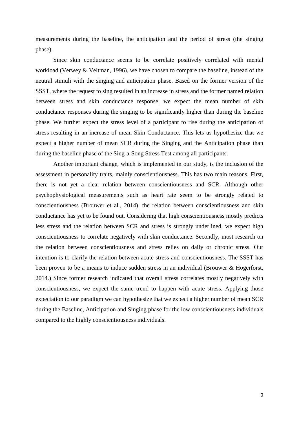measurements during the baseline, the anticipation and the period of stress (the singing phase).

Since skin conductance seems to be correlate positively correlated with mental workload (Verwey & Veltman, 1996), we have chosen to compare the baseline, instead of the neutral stimuli with the singing and anticipation phase. Based on the former version of the SSST, where the request to sing resulted in an increase in stress and the former named relation between stress and skin conductance response, we expect the mean number of skin conductance responses during the singing to be significantly higher than during the baseline phase. We further expect the stress level of a participant to rise during the anticipation of stress resulting in an increase of mean Skin Conductance. This lets us hypothesize that we expect a higher number of mean SCR during the Singing and the Anticipation phase than during the baseline phase of the Sing-a-Song Stress Test among all participants.

Another important change, which is implemented in our study, is the inclusion of the assessment in personality traits, mainly conscientiousness. This has two main reasons. First, there is not yet a clear relation between conscientiousness and SCR. Although other psychophysiological measurements such as heart rate seem to be strongly related to conscientiousness (Brouwer et al., 2014), the relation between conscientiousness and skin conductance has yet to be found out. Considering that high conscientiousness mostly predicts less stress and the relation between SCR and stress is strongly underlined, we expect high conscientiousness to correlate negatively with skin conductance. Secondly, most research on the relation between conscientiousness and stress relies on daily or chronic stress. Our intention is to clarify the relation between acute stress and conscientiousness. The SSST has been proven to be a means to induce sudden stress in an individual (Brouwer & Hogerforst, 2014.) Since former research indicated that overall stress correlates mostly negatively with conscientiousness, we expect the same trend to happen with acute stress. Applying those expectation to our paradigm we can hypothesize that we expect a higher number of mean SCR during the Baseline, Anticipation and Singing phase for the low conscientiousness individuals compared to the highly conscientiousness individuals.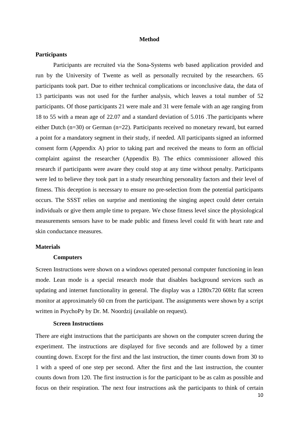#### **Method**

#### **Participants**

Participants are recruited via the Sona-Systems web based application provided and run by the University of Twente as well as personally recruited by the researchers. 65 participants took part. Due to either technical complications or inconclusive data, the data of 13 participants was not used for the further analysis, which leaves a total number of 52 participants. Of those participants 21 were male and 31 were female with an age ranging from 18 to 55 with a mean age of 22.07 and a standard deviation of 5.016 .The participants where either Dutch (n=30) or German (n=22). Participants received no monetary reward, but earned a point for a mandatory segment in their study, if needed. All participants signed an informed consent form (Appendix A) prior to taking part and received the means to form an official complaint against the researcher (Appendix B). The ethics commissioner allowed this research if participants were aware they could stop at any time without penalty. Participants were led to believe they took part in a study researching personality factors and their level of fitness. This deception is necessary to ensure no pre-selection from the potential participants occurs. The SSST relies on surprise and mentioning the singing aspect could deter certain individuals or give them ample time to prepare. We chose fitness level since the physiological measurements sensors have to be made public and fitness level could fit with heart rate and skin conductance measures.

#### **Materials**

#### **Computers**

Screen Instructions were shown on a windows operated personal computer functioning in lean mode. Lean mode is a special research mode that disables background services such as updating and internet functionality in general. The display was a 1280x720 60Hz flat screen monitor at approximately 60 cm from the participant. The assignments were shown by a script written in PsychoPy by Dr. M. Noordzij (available on request).

#### **Screen Instructions**

There are eight instructions that the participants are shown on the computer screen during the experiment. The instructions are displayed for five seconds and are followed by a timer counting down. Except for the first and the last instruction, the timer counts down from 30 to 1 with a speed of one step per second. After the first and the last instruction, the counter counts down from 120. The first instruction is for the participant to be as calm as possible and focus on their respiration. The next four instructions ask the participants to think of certain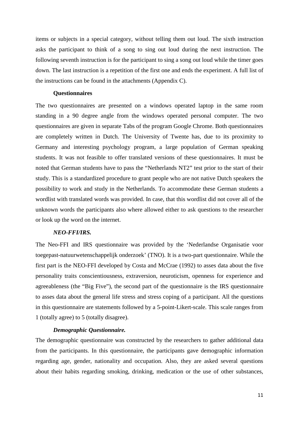items or subjects in a special category, without telling them out loud. The sixth instruction asks the participant to think of a song to sing out loud during the next instruction. The following seventh instruction is for the participant to sing a song out loud while the timer goes down. The last instruction is a repetition of the first one and ends the experiment. A full list of the instructions can be found in the attachments (Appendix C).

#### **Questionnaires**

The two questionnaires are presented on a windows operated laptop in the same room standing in a 90 degree angle from the windows operated personal computer. The two questionnaires are given in separate Tabs of the program Google Chrome. Both questionnaires are completely written in Dutch. The University of Twente has, due to its proximity to Germany and interesting psychology program, a large population of German speaking students. It was not feasible to offer translated versions of these questionnaires. It must be noted that German students have to pass the "Netherlands NT2" test prior to the start of their study. This is a standardized procedure to grant people who are not native Dutch speakers the possibility to work and study in the Netherlands. To accommodate these German students a wordlist with translated words was provided. In case, that this wordlist did not cover all of the unknown words the participants also where allowed either to ask questions to the researcher or look up the word on the internet.

#### *NEO-FFI/IRS.*

The Neo-FFI and IRS questionnaire was provided by the 'Nederlandse Organisatie voor toegepast-natuurwetenschappelijk onderzoek' (TNO). It is a two-part questionnaire. While the first part is the NEO-FFI developed by Costa and McCrae (1992) to asses data about the five personality traits conscientiousness, extraversion, neuroticism, openness for experience and agreeableness (the "Big Five"), the second part of the questionnaire is the IRS questionnaire to asses data about the general life stress and stress coping of a participant. All the questions in this questionnaire are statements followed by a 5-point-Likert-scale. This scale ranges from 1 (totally agree) to 5 (totally disagree).

#### *Demographic Questionnaire.*

The demographic questionnaire was constructed by the researchers to gather additional data from the participants. In this questionnaire, the participants gave demographic information regarding age, gender, nationality and occupation. Also, they are asked several questions about their habits regarding smoking, drinking, medication or the use of other substances,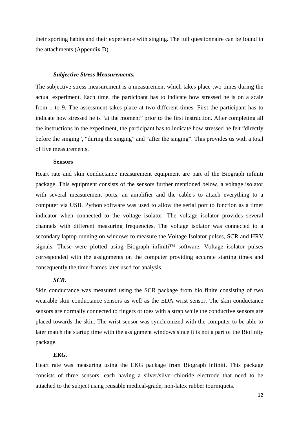their sporting habits and their experience with singing. The full questionnaire can be found in the attachments (Appendix D).

#### *Subjective Stress Measurements.*

The subjective stress measurement is a measurement which takes place two times during the actual experiment. Each time, the participant has to indicate how stressed he is on a scale from 1 to 9. The assessment takes place at two different times. First the participant has to indicate how stressed he is "at the moment" prior to the first instruction. After completing all the instructions in the experiment, the participant has to indicate how stressed he felt "directly before the singing", "during the singing" and "after the singing". This provides us with a total of five measurements.

#### **Sensors**

Heart rate and skin conductance measurement equipment are part of the Biograph infiniti package. This equipment consists of the sensors further mentioned below, a voltage isolator with several measurement ports, an amplifier and the cable's to attach everything to a computer via USB. Python software was used to allow the serial port to function as a timer indicator when connected to the voltage isolator. The voltage isolator provides several channels with different measuring frequencies. The voltage isolator was connected to a secondary laptop running on windows to measure the Voltage Isolator pulses, SCR and HRV signals. These were plotted using Biograph infiniti<sup>™</sup> software. Voltage isolator pulses corresponded with the assignments on the computer providing accurate starting times and consequently the time-frames later used for analysis.

### *SCR.*

Skin conductance was measured using the SCR package from bio finite consisting of two wearable skin conductance sensors as well as the EDA wrist sensor. The skin conductance sensors are normally connected to fingers or toes with a strap while the conductive sensors are placed towards the skin. The wrist sensor was synchronized with the computer to be able to later match the startup time with the assignment windows since it is not a part of the Biofinity package.

# *EKG.*

Heart rate was measuring using the EKG package from Biograph infiniti. This package consists of three sensors, each having a silver/silver-chloride electrode that need to be attached to the subject using reusable medical-grade, non-latex rubber tourniquets.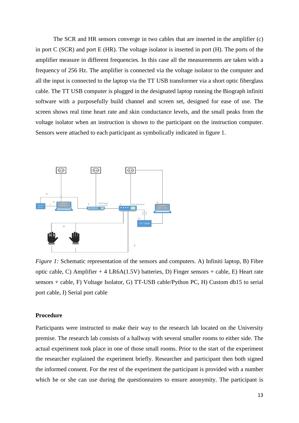The SCR and HR sensors converge in two cables that are inserted in the amplifier (c) in port C (SCR) and port E (HR). The voltage isolator is inserted in port (H). The ports of the amplifier measure in different frequencies. In this case all the measurements are taken with a frequency of 256 Hz. The amplifier is connected via the voltage isolator to the computer and all the input is connected to the laptop via the TT USB transformer via a short optic fiberglass cable. The TT USB computer is plugged in the designated laptop running the Biograph infiniti software with a purposefully build channel and screen set, designed for ease of use. The screen shows real time heart rate and skin conductance levels, and the small peaks from the voltage isolator when an instruction is shown to the participant on the instruction computer. Sensors were attached to each participant as symbolically indicated in figure 1.



*Figure 1:* Schematic representation of the sensors and computers. A) Infiniti laptop, B) Fibre optic cable, C) Amplifier + 4 LR6A(1.5V) batteries, D) Finger sensors + cable, E) Heart rate sensors + cable, F) Voltage Isolator, G) TT-USB cable/Python PC, H) Custom db15 to serial port cable, I) Serial port cable

#### **Procedure**

Participants were instructed to make their way to the research lab located on the University premise. The research lab consists of a hallway with several smaller rooms to either side. The actual experiment took place in one of those small rooms. Prior to the start of the experiment the researcher explained the experiment briefly. Researcher and participant then both signed the informed consent. For the rest of the experiment the participant is provided with a number which he or she can use during the questionnaires to ensure anonymity. The participant is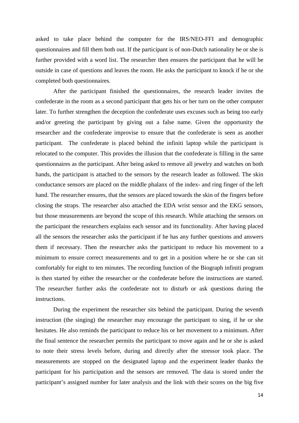asked to take place behind the computer for the IRS/NEO-FFI and demographic questionnaires and fill them both out. If the participant is of non-Dutch nationality he or she is further provided with a word list. The researcher then ensures the participant that he will be outside in case of questions and leaves the room. He asks the participant to knock if he or she completed both questionnaires.

After the participant finished the questionnaires, the research leader invites the confederate in the room as a second participant that gets his or her turn on the other computer later. To further strengthen the deception the confederate uses excuses such as being too early and/or greeting the participant by giving out a false name. Given the opportunity the researcher and the confederate improvise to ensure that the confederate is seen as another participant. The confederate is placed behind the infiniti laptop while the participant is relocated to the computer. This provides the illusion that the confederate is filling in the same questionnaires as the participant. After being asked to remove all jewelry and watches on both hands, the participant is attached to the sensors by the research leader as followed. The skin conductance sensors are placed on the middle phalanx of the index- and ring finger of the left hand. The researcher ensures, that the sensors are placed towards the skin of the fingers before closing the straps. The researcher also attached the EDA wrist sensor and the EKG sensors, but those measurements are beyond the scope of this research. While attaching the sensors on the participant the researchers explains each sensor and its functionality. After having placed all the sensors the researcher asks the participant if he has any further questions and answers them if necessary. Then the researcher asks the participant to reduce his movement to a minimum to ensure correct measurements and to get in a position where he or she can sit comfortably for eight to ten minutes. The recording function of the Biograph infiniti program is then started by either the researcher or the confederate before the instructions are started. The researcher further asks the confederate not to disturb or ask questions during the instructions.

During the experiment the researcher sits behind the participant. During the seventh instruction (the singing) the researcher may encourage the participant to sing, if he or she hesitates. He also reminds the participant to reduce his or her movement to a minimum. After the final sentence the researcher permits the participant to move again and he or she is asked to note their stress levels before, during and directly after the stressor took place. The measurements are stopped on the designated laptop and the experiment leader thanks the participant for his participation and the sensors are removed. The data is stored under the participant's assigned number for later analysis and the link with their scores on the big five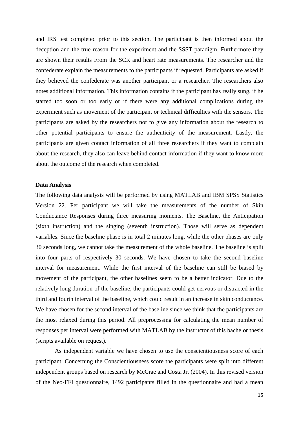and IRS test completed prior to this section. The participant is then informed about the deception and the true reason for the experiment and the SSST paradigm. Furthermore they are shown their results From the SCR and heart rate measurements. The researcher and the confederate explain the measurements to the participants if requested. Participants are asked if they believed the confederate was another participant or a researcher. The researchers also notes additional information. This information contains if the participant has really sung, if he started too soon or too early or if there were any additional complications during the experiment such as movement of the participant or technical difficulties with the sensors. The participants are asked by the researchers not to give any information about the research to other potential participants to ensure the authenticity of the measurement. Lastly, the participants are given contact information of all three researchers if they want to complain about the research, they also can leave behind contact information if they want to know more about the outcome of the research when completed.

#### **Data Analysis**

The following data analysis will be performed by using MATLAB and IBM SPSS Statistics Version 22. Per participant we will take the measurements of the number of Skin Conductance Responses during three measuring moments. The Baseline, the Anticipation (sixth instruction) and the singing (seventh instruction). Those will serve as dependent variables. Since the baseline phase is in total 2 minutes long, while the other phases are only 30 seconds long, we cannot take the measurement of the whole baseline. The baseline is split into four parts of respectively 30 seconds. We have chosen to take the second baseline interval for measurement. While the first interval of the baseline can still be biased by movement of the participant, the other baselines seem to be a better indicator. Due to the relatively long duration of the baseline, the participants could get nervous or distracted in the third and fourth interval of the baseline, which could result in an increase in skin conductance. We have chosen for the second interval of the baseline since we think that the participants are the most relaxed during this period. All preprocessing for calculating the mean number of responses per interval were performed with MATLAB by the instructor of this bachelor thesis (scripts available on request).

As independent variable we have chosen to use the conscientiousness score of each participant. Concerning the Conscientiousness score the participants were split into different independent groups based on research by McCrae and Costa Jr. (2004). In this revised version of the Neo-FFI questionnaire, 1492 participants filled in the questionnaire and had a mean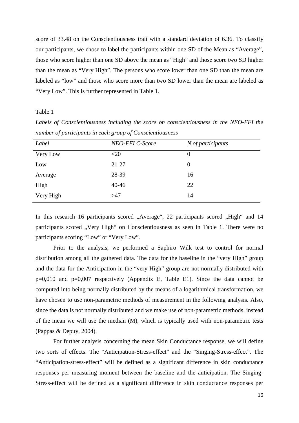score of 33.48 on the Conscientiousness trait with a standard deviation of 6.36. To classify our participants, we chose to label the participants within one SD of the Mean as "Average", those who score higher than one SD above the mean as "High" and those score two SD higher than the mean as "Very High". The persons who score lower than one SD than the mean are labeled as "low" and those who score more than two SD lower than the mean are labeled as "Very Low". This is further represented in Table 1.

Table 1

| $\ldots$ . $\ldots$ , $\ldots$ , $\ldots$ , $\ldots$ . $\ldots$ , $\ldots$ , $\ldots$ , $\ldots$ , $\ldots$ , $\ldots$ |                 |                     |  |
|------------------------------------------------------------------------------------------------------------------------|-----------------|---------------------|--|
| Label                                                                                                                  | NEO-FFI C-Score | $N$ of participants |  |
| Very Low                                                                                                               | $<$ 20          | $\theta$            |  |
| Low                                                                                                                    | $21 - 27$       | $\Omega$            |  |
| Average                                                                                                                | 28-39           | 16                  |  |
| High                                                                                                                   | $40 - 46$       | 22                  |  |
| Very High                                                                                                              | >47             | 14                  |  |

*Labels of Conscientiousness including the score on conscientiousness in the NEO-FFI the number of participants in each group of Conscientiousness*

In this research 16 participants scored "Average", 22 participants scored "High" and 14 participants scored "Very High" on Conscientiousness as seen in Table 1. There were no participants scoring "Low" or "Very Low".

Prior to the analysis, we performed a Saphiro Wilk test to control for normal distribution among all the gathered data. The data for the baseline in the "very High" group and the data for the Anticipation in the "very High" group are not normally distributed with p=0,010 and p=0,007 respectively (Appendix E, Table E1). Since the data cannot be computed into being normally distributed by the means of a logarithmical transformation, we have chosen to use non-parametric methods of measurement in the following analysis. Also, since the data is not normally distributed and we make use of non-parametric methods, instead of the mean we will use the median (M), which is typically used with non-parametric tests (Pappas & Depuy, 2004).

For further analysis concerning the mean Skin Conductance response, we will define two sorts of effects. The "Anticipation-Stress-effect" and the "Singing-Stress-effect". The "Anticipation-stress-effect" will be defined as a significant difference in skin conductance responses per measuring moment between the baseline and the anticipation. The Singing-Stress-effect will be defined as a significant difference in skin conductance responses per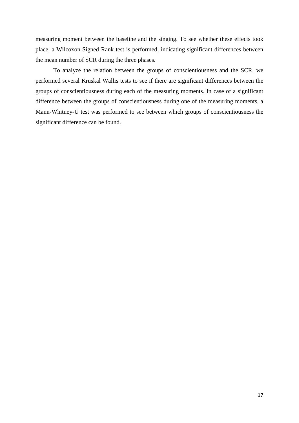measuring moment between the baseline and the singing. To see whether these effects took place, a Wilcoxon Signed Rank test is performed, indicating significant differences between the mean number of SCR during the three phases.

To analyze the relation between the groups of conscientiousness and the SCR, we performed several Kruskal Wallis tests to see if there are significant differences between the groups of conscientiousness during each of the measuring moments. In case of a significant difference between the groups of conscientiousness during one of the measuring moments, a Mann-Whitney-U test was performed to see between which groups of conscientiousness the significant difference can be found.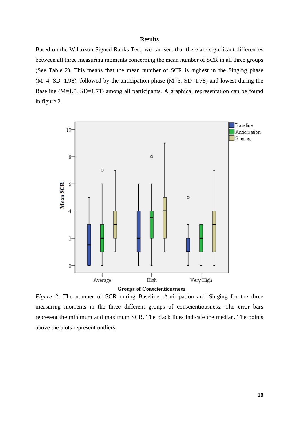### **Results**

Based on the Wilcoxon Signed Ranks Test, we can see, that there are significant differences between all three measuring moments concerning the mean number of SCR in all three groups (See Table 2). This means that the mean number of SCR is highest in the Singing phase  $(M=4, SD=1.98)$ , followed by the anticipation phase  $(M=3, SD=1.78)$  and lowest during the Baseline (M=1.5, SD=1.71) among all participants. A graphical representation can be found in figure 2.



**Groups of Conscientiousness** 

*Figure 2:* The number of SCR during Baseline, Anticipation and Singing for the three measuring moments in the three different groups of conscientiousness. The error bars represent the minimum and maximum SCR. The black lines indicate the median. The points above the plots represent outliers.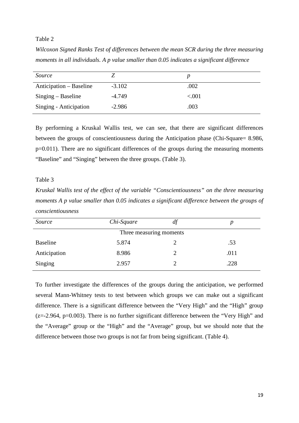# Table 2

*Wilcoxon Signed Ranks Test of differences between the mean SCR during the three measuring moments in all individuals. A p value smaller than 0.05 indicates a significant difference*

| Source                  |          |          |
|-------------------------|----------|----------|
| Anticipation – Baseline | $-3.102$ | .002     |
| $Singing - Baseline$    | $-4.749$ | ${<}001$ |
| Singing - Anticipation  | $-2.986$ | .003     |

By performing a Kruskal Wallis test, we can see, that there are significant differences between the groups of conscientiousness during the Anticipation phase (Chi-Square= 8.986, p=0.011). There are no significant differences of the groups during the measuring moments "Baseline" and "Singing" between the three groups. (Table 3).

# Table 3

*Kruskal Wallis test of the effect of the variable "Conscientiousness" on the three measuring moments A p value smaller than 0.05 indicates a significant difference between the groups of conscientiousness*

| Source                  | Chi-Square | df |      |  |
|-------------------------|------------|----|------|--|
| Three measuring moments |            |    |      |  |
| <b>Baseline</b>         | 5.874      |    | .53  |  |
| Anticipation            | 8.986      | 2  | .011 |  |
| Singing                 | 2.957      |    | .228 |  |

To further investigate the differences of the groups during the anticipation, we performed several Mann-Whitney tests to test between which groups we can make out a significant difference. There is a significant difference between the "Very High" and the "High" group  $(z=2.964, p=0.003)$ . There is no further significant difference between the "Very High" and the "Average" group or the "High" and the "Average" group, but we should note that the difference between those two groups is not far from being significant. (Table 4).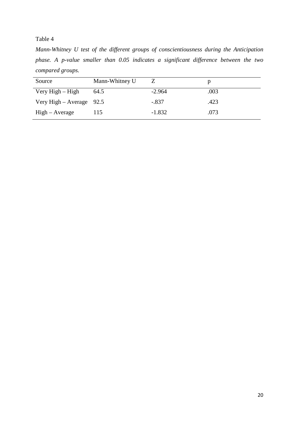# Table 4

*Mann-Whitney U test of the different groups of conscientiousness during the Anticipation phase. A p-value smaller than 0.05 indicates a significant difference between the two compared groups.*

| Source                     | Mann-Whitney U |          |      |
|----------------------------|----------------|----------|------|
| Very $High - High$         | 64.5           | $-2.964$ | .003 |
| Very High – Average $92.5$ |                | $-.837$  | .423 |
| $High - Average$           | 115            | $-1.832$ | .073 |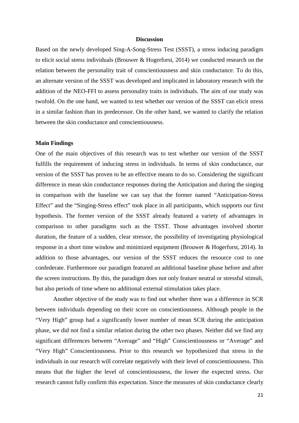#### **Discussion**

Based on the newly developed Sing-A-Song-Stress Test (SSST), a stress inducing paradigm to elicit social stress individuals (Brouwer & Hogerforst, 2014) we conducted research on the relation between the personality trait of conscientiousness and skin conductance. To do this, an alternate version of the SSST was developed and implicated in laboratory research with the addition of the NEO-FFI to assess personality traits in individuals. The aim of our study was twofold. On the one hand, we wanted to test whether our version of the SSST can elicit stress in a similar fashion than its predecessor. On the other hand, we wanted to clarify the relation between the skin conductance and conscientiousness.

#### **Main Findings**

One of the main objectives of this research was to test whether our version of the SSST fulfills the requirement of inducing stress in individuals. In terms of skin conductance, our version of the SSST has proven to be an effective means to do so. Considering the significant difference in mean skin conductance responses during the Anticipation and during the singing in comparison with the baseline we can say that the former named "Anticipation-Stress Effect" and the "Singing-Stress effect" took place in all participants, which supports our first hypothesis. The former version of the SSST already featured a variety of advantages in comparison to other paradigms such as the TSST. Those advantages involved shorter duration, the feature of a sudden, clear stressor, the possibility of investigating physiological response in a short time window and minimized equipment (Brouwer & Hogerforst, 2014). In addition to those advantages, our version of the SSST reduces the resource cost to one confederate. Furthermore our paradigm featured an additional baseline phase before and after the screen instructions. By this, the paradigm does not only feature neutral or stressful stimuli, but also periods of time where no additional external stimulation takes place.

Another objective of the study was to find out whether there was a difference in SCR between individuals depending on their score on conscientiousness. Although people in the "Very High" group had a significantly lower number of mean SCR during the anticipation phase, we did not find a similar relation during the other two phases. Neither did we find any significant differences between "Average" and "High" Conscientiousness or "Average" and "Very High" Conscientiousness. Prior to this research we hypothesized that stress in the individuals in our research will correlate negatively with their level of conscientiousness. This means that the higher the level of conscientiousness, the lower the expected stress. Our research cannot fully confirm this expectation. Since the measures of skin conductance clearly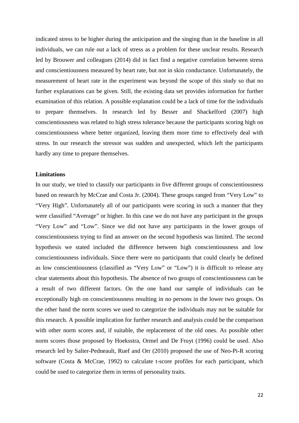indicated stress to be higher during the anticipation and the singing than in the baseline in all individuals, we can rule out a lack of stress as a problem for these unclear results. Research led by Brouwer and colleagues (2014) did in fact find a negative correlation between stress and conscientiousness measured by heart rate, but not in skin conductance. Unfortunately, the measurement of heart rate in the experiment was beyond the scope of this study so that no further explanations can be given. Still, the existing data set provides information for further examination of this relation. A possible explanation could be a lack of time for the individuals to prepare themselves. In research led by Besser and Shackelford (2007) high conscientiousness was related to high stress tolerance because the participants scoring high on conscientiousness where better organized, leaving them more time to effectively deal with stress. In our research the stressor was sudden and unexpected, which left the participants hardly any time to prepare themselves.

### **Limitations**

In our study, we tried to classify our participants in five different groups of conscientiousness based on research by McCrae and Costa Jr. (2004). These groups ranged from "Very Low" to "Very High". Unfortunately all of our participants were scoring in such a manner that they were classified "Average" or higher. In this case we do not have any participant in the groups "Very Low" and "Low". Since we did not have any participants in the lower groups of conscientiousness trying to find an answer on the second hypothesis was limited. The second hypothesis we stated included the difference between high conscientiousness and low conscientiousness individuals. Since there were no participants that could clearly be defined as low conscientiousness (classified as "Very Low" or "Low") it is difficult to release any clear statements about this hypothesis. The absence of two groups of conscientiousness can be a result of two different factors. On the one hand our sample of individuals can be exceptionally high on conscientiousness resulting in no persons in the lower two groups. On the other hand the norm scores we used to categorize the individuals may not be suitable for this research. A possible implication for further research and analysis could be the comparison with other norm scores and, if suitable, the replacement of the old ones. As possible other norm scores those proposed by Hoeksstra, Ormel and De Fruyt (1996) could be used. Also research led by Salter-Pedneault, Ruef and Orr (2010) proposed the use of Neo-Pi-R scoring software (Costa & McCrae, 1992) to calculate t-score profiles for each participant, which could be used to categorize them in terms of personality traits.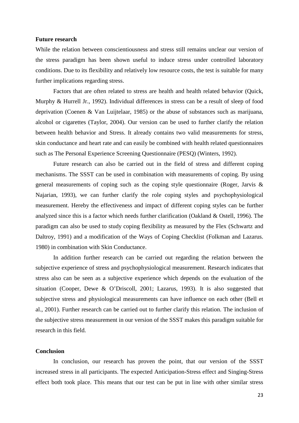#### **Future research**

While the relation between conscientiousness and stress still remains unclear our version of the stress paradigm has been shown useful to induce stress under controlled laboratory conditions. Due to its flexibility and relatively low resource costs, the test is suitable for many further implications regarding stress.

Factors that are often related to stress are health and health related behavior (Quick, Murphy & Hurrell Jr., 1992). Individual differences in stress can be a result of sleep of food deprivation (Coenen & Van Luijtelaar, 1985) or the abuse of substances such as marijuana, alcohol or cigarettes (Taylor, 2004). Our version can be used to further clarify the relation between health behavior and Stress. It already contains two valid measurements for stress, skin conductance and heart rate and can easily be combined with health related questionnaires such as The Personal Experience Screening Questionnaire (PESQ) (Winters, 1992).

Future research can also be carried out in the field of stress and different coping mechanisms. The SSST can be used in combination with measurements of coping. By using general measurements of coping such as the coping style questionnaire (Roger, Jarvis & Najarian, 1993), we can further clarify the role coping styles and psychophysiological measurement. Hereby the effectiveness and impact of different coping styles can be further analyzed since this is a factor which needs further clarification (Oakland & Ostell, 1996). The paradigm can also be used to study coping flexibility as measured by the Flex (Schwartz and Daltroy, 1991) and a modification of the Ways of Coping Checklist (Folkman and Lazarus. 1980) in combination with Skin Conductance.

In addition further research can be carried out regarding the relation between the subjective experience of stress and psychophysiological measurement. Research indicates that stress also can be seen as a subjective experience which depends on the evaluation of the situation (Cooper, Dewe & O'Driscoll, 2001; Lazarus, 1993). It is also suggested that subjective stress and physiological measurements can have influence on each other (Bell et al., 2001). Further research can be carried out to further clarify this relation. The inclusion of the subjective stress measurement in our version of the SSST makes this paradigm suitable for research in this field.

# **Conclusion**

In conclusion, our research has proven the point, that our version of the SSST increased stress in all participants. The expected Anticipation-Stress effect and Singing-Stress effect both took place. This means that our test can be put in line with other similar stress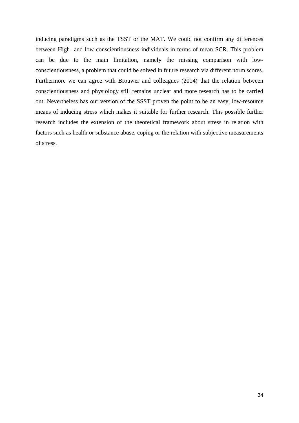inducing paradigms such as the TSST or the MAT. We could not confirm any differences between High- and low conscientiousness individuals in terms of mean SCR. This problem can be due to the main limitation, namely the missing comparison with lowconscientiousness, a problem that could be solved in future research via different norm scores. Furthermore we can agree with Brouwer and colleagues (2014) that the relation between conscientiousness and physiology still remains unclear and more research has to be carried out. Nevertheless has our version of the SSST proven the point to be an easy, low-resource means of inducing stress which makes it suitable for further research. This possible further research includes the extension of the theoretical framework about stress in relation with factors such as health or substance abuse, coping or the relation with subjective measurements of stress.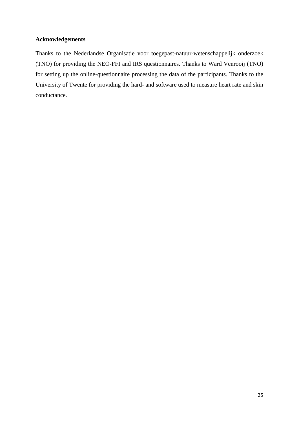# **Acknowledgements**

Thanks to the Nederlandse Organisatie voor toegepast-natuur-wetenschappelijk onderzoek (TNO) for providing the NEO-FFI and IRS questionnaires. Thanks to Ward Venrooij (TNO) for setting up the online-questionnaire processing the data of the participants. Thanks to the University of Twente for providing the hard- and software used to measure heart rate and skin conductance.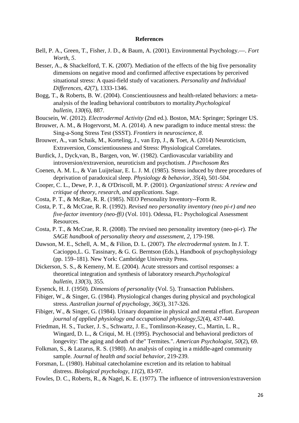#### **References**

- Bell, P. A., Green, T., Fisher, J. D., & Baum, A. (2001). Environmental Psychology.—. *Fort Worth*, *5*.
- Besser, A., & Shackelford, T. K. (2007). Mediation of the effects of the big five personality dimensions on negative mood and confirmed affective expectations by perceived situational stress: A quasi-field study of vacationers. *Personality and Individual Differences*, *42*(7), 1333-1346.
- Bogg, T., & Roberts, B. W. (2004). Conscientiousness and health-related behaviors: a metaanalysis of the leading behavioral contributors to mortality.*Psychological bulletin*, *130*(6), 887.
- Boucsein, W. (2012). *Electrodermal Activity* (2nd ed.). Boston, MA: Springer; Springer US.
- Brouwer, A. M., & Hogervorst, M. A. (2014). A new paradigm to induce mental stress: the Sing-a-Song Stress Test (SSST). *Frontiers in neuroscience*, *8*.
- Brouwer, A., van Schaik, M., Korteling, J., van Erp, J., & Toet, A. (2014) Neuroticism, Extraversion, Conscientiousness and Stress: Physiological Correlates.
- Burdick, J., Dyck,van, B., Bargen, von, W. (1982). Cardiovascular variability and introversion/extraversion, neuroticism and psychotism. *J Psvchosom Res*
- Coenen, A. M. L., & Van Luijtelaar, E. L. J. M. (1985). Stress induced by three procedures of deprivation of paradoxical sleep. *Physiology & behavior*, *35*(4), 501-504.
- Cooper, C. L., Dewe, P. J., & O'Driscoll, M. P. (2001). *Organizational stress: A review and critique of theory, research, and applications*. Sage.
- Costa, P. T., & McRae, R. R. (1985). NEO Personality Inventory--Form R.
- Costa, P. T., & McCrae, R. R. (1992). *Revised neo personality inventory (neo pi-r) and neo five-factor inventory (neo-ffi)* (Vol. 101). Odessa, FL: Psychological Assessment Resources.
- Costa, P. T., & McCrae, R. R. (2008). The revised neo personality inventory (neo-pi-r). *The SAGE handbook of personality theory and assessment*, *2*, 179-198.
- Dawson, M. E., Schell, A. M., & Filion, D. L. (2007). *The electrodermal system*. In J. T. Cacioppo,L. G. Tassinary, & G. G. Berntson (Eds.), Handbook of psychophysiology (pp. 159–181). New York: Cambridge University Press.
- Dickerson, S. S., & Kemeny, M. E. (2004). Acute stressors and cortisol responses: a theoretical integration and synthesis of laboratory research.*Psychological bulletin*, *130*(3), 355.
- Eysenck, H. J. (1950). *Dimensions of personality* (Vol. 5). Transaction Publishers.
- Fibiger, W., & Singer, G. (1984). Physiological changes during physical and psychological stress. *Australian journal of psychology*, *36*(3), 317-326.
- Fibiger, W., & Singer, G. (1984). Urinary dopamine in physical and mental effort. *European journal of applied physiology and occupational physiology*,*52*(4), 437-440.
- Friedman, H. S., Tucker, J. S., Schwartz, J. E., Tomlinson-Keasey, C., Martin, L. R., Wingard, D. L., & Criqui, M. H. (1995). Psychosocial and behavioral predictors of longevity: The aging and death of the" Termites.". *American Psychologist*, *50*(2), 69.
- Folkman, S., & Lazarus, R. S. (1980). An analysis of coping in a middle-aged community sample. *Journal of health and social behavior*, 219-239.
- Forsman, L. (1980). Habitual catecholamine excretion and its relation to habitual distress. *Biological psychology*, *11*(2), 83-97.
- Fowles, D. C., Roberts, R., & Nagel, K. E. (1977). The influence of introversion/extraversion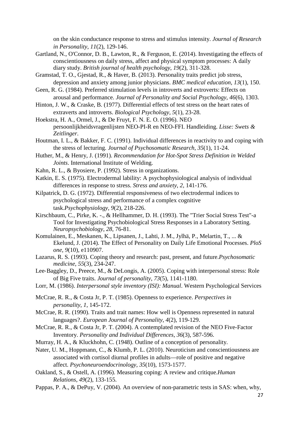on the skin conductance response to stress and stimulus intensity. *Journal of Research in Personality*, *11*(2), 129-146.

- Gartland, N., O'Connor, D. B., Lawton, R., & Ferguson, E. (2014). Investigating the effects of conscientiousness on daily stress, affect and physical symptom processes: A daily diary study. *British journal of health psychology*, *19*(2), 311-328.
- Gramstad, T. O., Gjestad, R., & Haver, B. (2013). Personality traits predict job stress, depression and anxiety among junior physicians. *BMC medical education*, *13*(1), 150.
- Geen, R. G. (1984). Preferred stimulation levels in introverts and extroverts: Effects on arousal and performance. *Journal of Personality and Social Psychology*, *46*(6), 1303.
- Hinton, J. W., & Craske, B. (1977). Differential effects of test stress on the heart rates of extraverts and introverts. *Biological Psychology*, *5*(1), 23-28.
- Hoekstra, H. A., Ormel, J., & De Fruyt, F. N. E. O. (1996). NEO persoonlijkheidsvragenlijsten NEO-PI-R en NEO-FFI. Handleiding. *Lisse: Swets & Zeitlinger*.
- Houtman, I. L., & Bakker, F. C. (1991). Individual differences in reactivity to and coping with the stress of lecturing. *Journal of Psychosomatic Research*, *35*(1), 11-24.
- Huther, M., & Henry, J. (1991). *Recommendation for Hot-Spot Stress Definition in Welded Joints*. International Institute of Welding.
- Kahn, R. L., & Byosiere, P. (1992). Stress in organizations.
- Katkin, E. S. (1975). Electrodermal lability: A psychophysiological analysis of individual differences in response to stress. *Stress and anxiety*, *2*, 141-176.
- Kilpatrick, D. G. (1972). Differential responsiveness of two electrodermal indices to psychological stress and performance of a complex cognitive task.*Psychophysiology*, *9*(2), 218-226.
- Kirschbaum, C., Pirke, K. -., & Hellhammer, D. H. (1993). The "Trier Social Stress Test"-a Tool for Investigating Psychobiological Stress Responses in a Laboratory Setting. *Neuropsychobiology*, *28*, 76-81.
- Komulainen, E., Meskanen, K., Lipsanen, J., Lahti, J. M., Jylhä, P., Melartin, T., ... & Ekelund, J. (2014). The Effect of Personality on Daily Life Emotional Processes. *PloS one*, *9*(10), e110907.
- Lazarus, R. S. (1993). Coping theory and research: past, present, and future.*Psychosomatic medicine*, *55*(3), 234-247.
- Lee‐Baggley, D., Preece, M., & DeLongis, A. (2005). Coping with interpersonal stress: Role of Big Five traits. *Journal of personality*, *73*(5), 1141-1180.
- Lorr, M. (1986). *Interpersonal style inventory (ISI): Manual*. Western Psychological Services
- McCrae, R. R., & Costa Jr, P. T. (1985). Openness to experience. *Perspectives in personality*, *1*, 145-172.
- McCrae, R. R. (1990). Traits and trait names: How well is Openness represented in natural languages?. *European Journal of Personality*, *4*(2), 119-129.
- McCrae, R. R., & Costa Jr, P. T. (2004). A contemplated revision of the NEO Five-Factor Inventory. *Personality and Individual Differences*, *36*(3), 587-596.
- Murray, H. A., & Kluckhohn, C. (1948). Outline of a conception of personality.
- Nater, U. M., Hoppmann, C., & Klumb, P. L. (2010). Neuroticism and conscientiousness are associated with cortisol diurnal profiles in adults—role of positive and negative affect. *Psychoneuroendocrinology*, *35*(10), 1573-1577.
- Oakland, S., & Ostell, A. (1996). Measuring coping: A review and critique.*Human Relations*, *49*(2), 133-155.
- Pappas, P. A., & DePuy, V. (2004). An overview of non-parametric tests in SAS: when, why,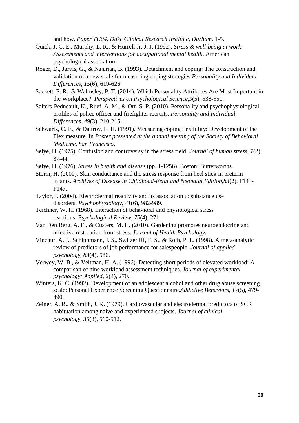and how. *Paper TU04. Duke Clinical Research Institute, Durham*, 1-5.

- Quick, J. C. E., Murphy, L. R., & Hurrell Jr, J. J. (1992). *Stress & well-being at work: Assessments and interventions for occupational mental health*. American psychological association.
- Roger, D., Jarvis, G., & Najarian, B. (1993). Detachment and coping: The construction and validation of a new scale for measuring coping strategies.*Personality and Individual Differences*, *15*(6), 619-626.
- Sackett, P. R., & Walmsley, P. T. (2014). Which Personality Attributes Are Most Important in the Workplace?. *Perspectives on Psychological Science*,*9*(5), 538-551.
- Salters-Pedneault, K., Ruef, A. M., & Orr, S. P. (2010). Personality and psychophysiological profiles of police officer and firefighter recruits. *Personality and Individual Differences*, *49*(3), 210-215.
- Schwartz, C. E., & Daltroy, L. H. (1991). Measuring coping flexibility: Development of the Flex measure. In *Poster presented at the annual meeting of the Society of Behavioral Medicine, San Francisco*.
- Selye, H. (1975). Confusion and controversy in the stress field. *Journal of human stress*, *1*(2), 37-44.
- Selye, H. (1976). *Stress in health and disease* (pp. 1-1256). Boston: Butterworths.
- Storm, H. (2000). Skin conductance and the stress response from heel stick in preterm infants. *Archives of Disease in Childhood-Fetal and Neonatal Edition*,*83*(2), F143- F147.
- Taylor, J. (2004). Electrodermal reactivity and its association to substance use disorders. *Psychophysiology*, *41*(6), 982-989.
- Teichner, W. H. (1968). Interaction of behavioral and physiological stress reactions. *Psychological Review*, *75*(4), 271.
- Van Den Berg, A. E., & Custers, M. H. (2010). Gardening promotes neuroendocrine and affective restoration from stress. *Journal of Health Psychology*.
- Vinchur, A. J., Schippmann, J. S., Switzer III, F. S., & Roth, P. L. (1998). A meta-analytic review of predictors of job performance for salespeople. *Journal of applied psychology*, *83*(4), 586.
- Verwey, W. B., & Veltman, H. A. (1996). Detecting short periods of elevated workload: A comparison of nine workload assessment techniques. *Journal of experimental psychology: Applied*, *2*(3), 270.
- Winters, K. C. (1992). Development of an adolescent alcohol and other drug abuse screening scale: Personal Experience Screening Questionnaire.*Addictive Behaviors*, *17*(5), 479- 490.
- Zeiner, A. R., & Smith, J. K. (1979). Cardiovascular and electrodermal predictors of SCR habituation among naive and experienced subjects. *Journal of clinical psychology*, *35*(3), 510-512.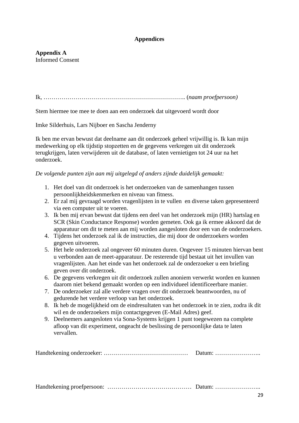# **Appendices**

# **Appendix A** Informed Consent

Ik, …………………………………………………………….. (*naam proefpersoon)*

Stem hiermee toe mee te doen aan een onderzoek dat uitgevoerd wordt door

Imke Silderhuis, Lars Nijboer en Sascha Jenderny

Ik ben me ervan bewust dat deelname aan dit onderzoek geheel vrijwillig is. Ik kan mijn medewerking op elk tijdstip stopzetten en de gegevens verkregen uit dit onderzoek terugkrijgen, laten verwijderen uit de database, of laten vernietigen tot 24 uur na het onderzoek.

# *De volgende punten zijn aan mij uitgelegd of anders zijnde duidelijk gemaakt:*

- 1. Het doel van dit onderzoek is het onderzoeken van de samenhangen tussen persoonlijkheidskenmerken en niveau van fitness.
- 2. Er zal mij gevraagd worden vragenlijsten in te vullen en diverse taken gepresenteerd via een computer uit te voeren.
- 3. Ik ben mij ervan bewust dat tijdens een deel van het onderzoek mijn (HR) hartslag en SCR (Skin Conductance Response) worden gemeten. Ook ga ik ermee akkoord dat de apparatuur om dit te meten aan mij worden aangesloten door een van de onderzoekers.
- 4. Tijdens het onderzoek zal ik de instructies, die mij door de onderzoekers worden gegeven uitvoeren.
- 5. Het hele onderzoek zal ongeveer 60 minuten duren. Ongeveer 15 minuten hiervan bent u verbonden aan de meet-apparatuur. De resterende tijd bestaat uit het invullen van vragenlijsten. Aan het einde van het onderzoek zal de onderzoeker u een briefing geven over dit onderzoek.
- 6. De gegevens verkregen uit dit onderzoek zullen anoniem verwerkt worden en kunnen daarom niet bekend gemaakt worden op een individueel identificeerbare manier.
- 7. De onderzoeker zal alle verdere vragen over dit onderzoek beantwoorden, nu of gedurende het verdere verloop van het onderzoek.
- 8. Ik heb de mogelijkheid om de eindresultaten van het onderzoek in te zien, zodra ik dit wil en de onderzoekers mijn contactgegeven (E-Mail Adres) geef.
- 9. Deelnemers aangesloten via Sona-Systems krijgen 1 punt toegewezen na complete afloop van dit experiment, ongeacht de beslissing de persoonlijke data te laten vervallen.

Handtekening onderzoeker: …………………………………… Datum: …………………..

Handtekening proefpersoon: …………………………………… Datum: …………………..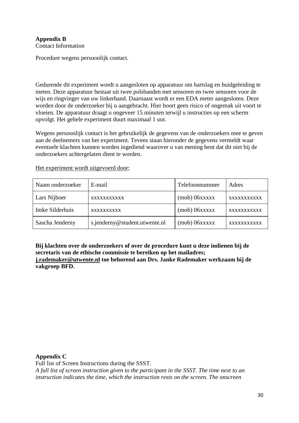# **Appendix B** Contact Information

Procedure wegens persoonlijk contact.

Gedurende dit experiment wordt u aangesloten op apparatuur om hartslag en huidgeleiding te meten. Deze apparatuur bestaat uit twee polsbanden met sensoren en twee sensoren voor de wijs en ringvinger van uw linkerhand. Daarnaast wordt er een EDA meter aangesloten. Deze worden door de onderzoeker bij u aangebracht. Hier hoort geen risico of ongemak uit voort te vloeien. De apparatuur draagt u ongeveer 15 minuten terwijl u instructies op een scherm opvolgt. Het gehele experiment duurt maximaal 1 uur.

Wegens persoonlijk contact is het gebruikelijk de gegevens van de onderzoekers mee te geven aan de deelnemers van het experiment. Tevens staan hieronder de gegevens vermeldt waar eventuele klachten kunnen worden ingediend waarover u van mening bent dat dit niet bij de onderzoekers achtergelaten dient te worden.

Het experiment wordt uitgevoerd door;

| Naam onderzoeker | E-mail                        | Telefoonnummer    | Adres       |
|------------------|-------------------------------|-------------------|-------------|
| Lars Nijboer     | <b>XXXXXXXXXXX</b>            | $(mob)$ $06xxxxx$ | XXXXXXXXXXX |
| Imke Silderhuis  | XXXXXXXXXX                    | $(mob)$ $06xxxxx$ | XXXXXXXXXXX |
| Sascha Jenderny  | s.jenderny@student.utwente.nl | $(mob)$ $06xxxxx$ | XXXXXXXXXXX |

**Bij klachten over de onderzoekers of over de procedure kunt u deze indienen bij de secretaris van de ethische commissie te bereiken op het mailadres; [j.rademaker@utwente.nl](mailto:j.rademaker@utwente.nl) toe behorend aan Drs. Janke Rademaker werkzaam bij de vakgroep BFD.**

# **Appendix C**

Full list of Screen Instructions during the SSST.

*A full list of screen instruction given to the participant in the SSST. The time next to an instruction indicates the time, which the instruction rests on the screen. The onscreen*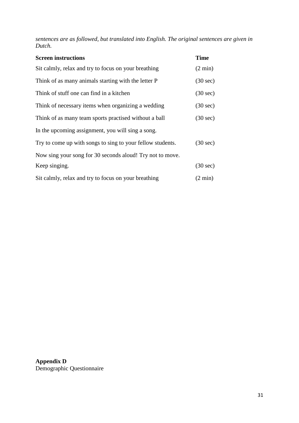*sentences are as followed, but translated into English. The original sentences are given in Dutch.*

| <b>Screen instructions</b>                                 | <b>Time</b>        |
|------------------------------------------------------------|--------------------|
| Sit calmly, relax and try to focus on your breathing       | $(2 \text{ min})$  |
| Think of as many animals starting with the letter P        | $(30 \text{ sec})$ |
| Think of stuff one can find in a kitchen                   | $(30 \text{ sec})$ |
| Think of necessary items when organizing a wedding         | $(30 \text{ sec})$ |
| Think of as many team sports practised without a ball      | $(30 \text{ sec})$ |
| In the upcoming assignment, you will sing a song.          |                    |
| Try to come up with songs to sing to your fellow students. | $(30 \text{ sec})$ |
| Now sing your song for 30 seconds aloud! Try not to move.  |                    |
| Keep singing.                                              | $(30 \text{ sec})$ |
| Sit calmly, relax and try to focus on your breathing       | $(2 \text{ min})$  |

**Appendix D** Demographic Questionnaire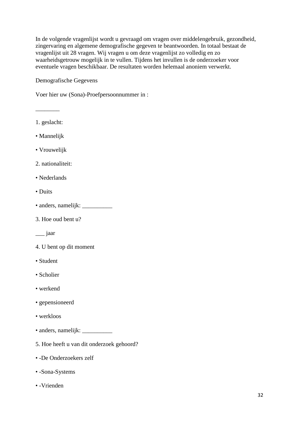In de volgende vragenlijst wordt u gevraagd om vragen over middelengebruik, gezondheid, zingervaring en algemene demografische gegeven te beantwoorden. In totaal bestaat de vragenlijst uit 28 vragen. Wij vragen u om deze vragenlijst zo volledig en zo waarheidsgetrouw mogelijk in te vullen. Tijdens het invullen is de onderzoeker voor eventuele vragen beschikbaar. De resultaten worden helemaal anoniem verwerkt.

Demografische Gegevens

Voer hier uw (Sona)-Proefpersoonnummer in :

1. geslacht:

\_\_\_\_\_\_\_\_

- Mannelijk
- Vrouwelijk
- 2. nationaliteit:
- Nederlands
- Duits
- anders, namelijk: \_\_\_\_\_\_\_\_\_\_
- 3. Hoe oud bent u?
- \_\_\_ jaar
- 4. U bent op dit moment
- Student
- Scholier
- werkend
- gepensioneerd
- werkloos
- anders, namelijk: \_\_\_\_\_\_\_\_\_\_
- 5. Hoe heeft u van dit onderzoek gehoord?
- -De Onderzoekers zelf
- -Sona-Systems
- -Vrienden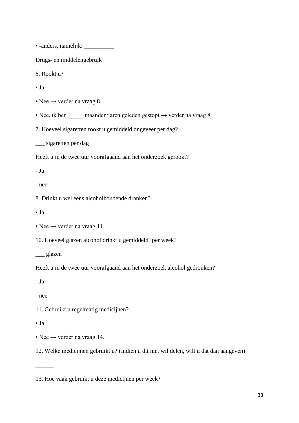• -anders, namelijk: \_\_\_\_\_\_\_\_\_\_

Drugs- en middelengebruik

6. Rookt u?

• Ja

- Nee  $\rightarrow$  verder na vraag 8.
- Nee, ik ben maanden/jaren geleden gestopt  $\rightarrow$  verder na vraag 8

7. Hoeveel sigaretten rookt u gemiddeld ongeveer per dag?

\_\_\_ sigaretten per dag

Heeft u in de twee uur voorafgaand aan het onderzoek gerookt?

- Ja

- nee

8. Drinkt u wel eens alcoholhoudende dranken?

 $\bullet$  Ja

10. Hoeveel glazen alcohol drinkt u gemiddeld 'per week?

\_\_\_ glazen

Heeft u in de twee uur voorafgaand aan het onderzoek alcohol gedronken?

- Ja

- nee

11. Gebruikt u regelmatig medicijnen?

• Ja

 $\overline{\phantom{a}}$ 

• Nee  $\rightarrow$  verder na vraag 14.

12. Welke medicijnen gebruikt u? (Indien u dit niet wil delen, wilt u dat dan aangeven)

<sup>•</sup> Nee  $\rightarrow$  verder na vraag 11.

<sup>13.</sup> Hoe vaak gebruikt u deze medicijnen per week?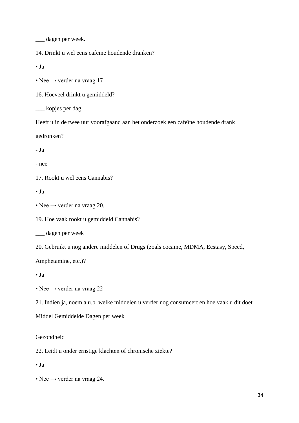\_\_\_ dagen per week.

14. Drinkt u wel eens cafeïne houdende dranken?

• Ja

• Nee  $\rightarrow$  verder na vraag 17

16. Hoeveel drinkt u gemiddeld?

\_\_\_ kopjes per dag

Heeft u in de twee uur voorafgaand aan het onderzoek een cafeïne houdende drank

gedronken?

- Ja

- nee

17. Rookt u wel eens Cannabis?

 $\bullet$  Ja

• Nee  $\rightarrow$  verder na vraag 20.

19. Hoe vaak rookt u gemiddeld Cannabis?

\_\_\_ dagen per week

20. Gebruikt u nog andere middelen of Drugs (zoals cocaine, MDMA, Ecstasy, Speed,

Amphetamine, etc.)?

• Ja

• Nee  $\rightarrow$  verder na vraag 22

21. Indien ja, noem a.u.b. welke middelen u verder nog consumeert en hoe vaak u dit doet.

Middel Gemiddelde Dagen per week

#### Gezondheid

22. Leidt u onder ernstige klachten of chronische ziekte?

• Ja

• Nee  $\rightarrow$  verder na vraag 24.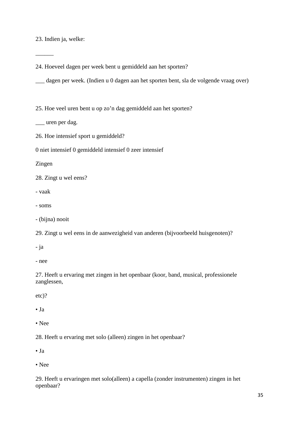23. Indien ja, welke:

 $\overline{\phantom{a}}$ 

24. Hoeveel dagen per week bent u gemiddeld aan het sporten?

\_\_\_ dagen per week. (Indien u 0 dagen aan het sporten bent, sla de volgende vraag over)

25. Hoe veel uren bent u op zo'n dag gemiddeld aan het sporten?

\_\_\_ uren per dag.

26. Hoe intensief sport u gemiddeld?

0 niet intensief 0 gemiddeld intensief 0 zeer intensief

Zingen

28. Zingt u wel eens?

- vaak

- soms

- (bijna) nooit

29. Zingt u wel eens in de aanwezigheid van anderen (bijvoorbeeld huisgenoten)?

- ja

- nee

27. Heeft u ervaring met zingen in het openbaar (koor, band, musical, professionele zanglessen,

etc)?

• Ja

• Nee

28. Heeft u ervaring met solo (alleen) zingen in het openbaar?

 $\bullet$  Ja

• Nee

29. Heeft u ervaringen met solo(alleen) a capella (zonder instrumenten) zingen in het openbaar?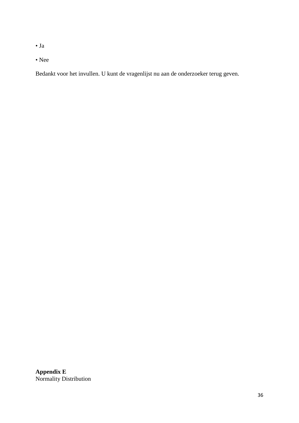• Ja

• Nee

Bedankt voor het invullen. U kunt de vragenlijst nu aan de onderzoeker terug geven.

**Appendix E** Normality Distribution